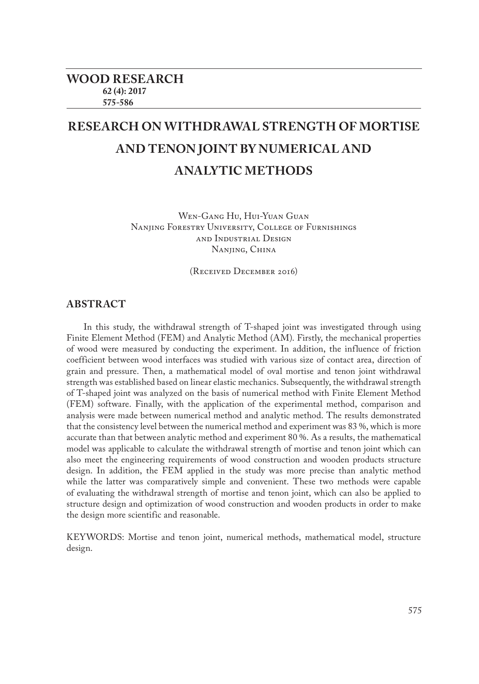# **RESEARCH ON WITHDRAWAL STRENGTH OF MORTISE AND TENON JOINT BY NUMERICAL AND ANALYTIC METHODS**

Wen-Gang Hu, Hui-Yuan Guan Nanjing Forestry University, College of Furnishings and Industrial Design Nanjing, China

(Received December 2016)

#### **ABSTRACT**

In this study, the withdrawal strength of T-shaped joint was investigated through using Finite Element Method (FEM) and Analytic Method (AM). Firstly, the mechanical properties of wood were measured by conducting the experiment. In addition, the influence of friction coefficient between wood interfaces was studied with various size of contact area, direction of grain and pressure. Then, a mathematical model of oval mortise and tenon joint withdrawal strength was established based on linear elastic mechanics. Subsequently, the withdrawal strength of T-shaped joint was analyzed on the basis of numerical method with Finite Element Method (FEM) software. Finally, with the application of the experimental method, comparison and analysis were made between numerical method and analytic method. The results demonstrated that the consistency level between the numerical method and experiment was 83 %, which is more accurate than that between analytic method and experiment 80 %. As a results, the mathematical model was applicable to calculate the withdrawal strength of mortise and tenon joint which can also meet the engineering requirements of wood construction and wooden products structure design. In addition, the FEM applied in the study was more precise than analytic method while the latter was comparatively simple and convenient. These two methods were capable of evaluating the withdrawal strength of mortise and tenon joint, which can also be applied to structure design and optimization of wood construction and wooden products in order to make the design more scientific and reasonable.

KEYWORDS: Mortise and tenon joint, numerical methods, mathematical model, structure design.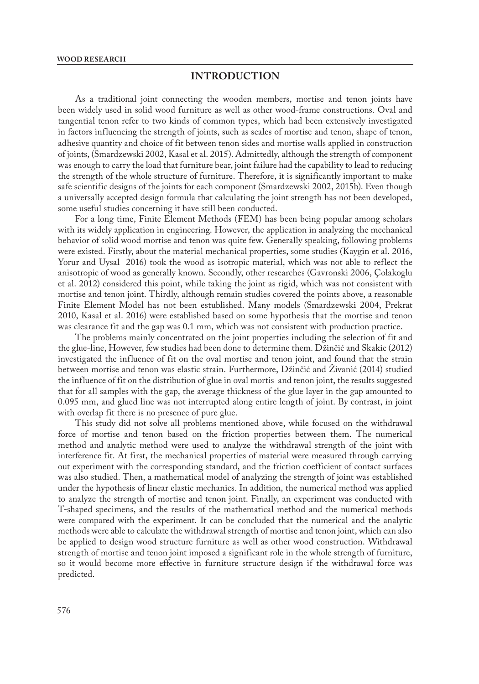## **INTRODUCTION**

As a traditional joint connecting the wooden members, mortise and tenon joints have been widely used in solid wood furniture as well as other wood-frame constructions. Oval and tangential tenon refer to two kinds of common types, which had been extensively investigated in factors influencing the strength of joints, such as scales of mortise and tenon, shape of tenon, adhesive quantity and choice of fit between tenon sides and mortise walls applied in construction of joints, (Smardzewski 2002, Kasal et al. 2015). Admittedly, although the strength of component was enough to carry the load that furniture bear, joint failure had the capability to lead to reducing the strength of the whole structure of furniture. Therefore, it is significantly important to make safe scientific designs of the joints for each component (Smardzewski 2002, 2015b). Even though a universally accepted design formula that calculating the joint strength has not been developed, some useful studies concerning it have still been conducted.

For a long time, Finite Element Methods (FEM) has been being popular among scholars with its widely application in engineering. However, the application in analyzing the mechanical behavior of solid wood mortise and tenon was quite few. Generally speaking, following problems were existed. Firstly, about the material mechanical properties, some studies (Kaygin et al. 2016, Yorur and Uysal 2016) took the wood as isotropic material, which was not able to reflect the anisotropic of wood as generally known. Secondly, other researches (Gavronski 2006, Çolakoglu et al. 2012) considered this point, while taking the joint as rigid, which was not consistent with mortise and tenon joint. Thirdly, although remain studies covered the points above, a reasonable Finite Element Model has not been estublished. Many models (Smardzewski 2004, Prekrat 2010, Kasal et al. 2016) were established based on some hypothesis that the mortise and tenon was clearance fit and the gap was 0.1 mm, which was not consistent with production practice.

The problems mainly concentrated on the joint properties including the selection of fit and the glue-line, However, few studies had been done to determine them. Džinčić and Skakic (2012) investigated the influence of fit on the oval mortise and tenon joint, and found that the strain between mortise and tenon was elastic strain. Furthermore, Džinčić and Živanić (2014) studied the influence of fit on the distribution of glue in oval mortis and tenon joint, the results suggested that for all samples with the gap, the average thickness of the glue layer in the gap amounted to 0.095 mm, and glued line was not interrupted along entire length of joint. By contrast, in joint with overlap fit there is no presence of pure glue.

This study did not solve all problems mentioned above, while focused on the withdrawal force of mortise and tenon based on the friction properties between them. The numerical method and analytic method were used to analyze the withdrawal strength of the joint with interference fit. At first, the mechanical properties of material were measured through carrying out experiment with the corresponding standard, and the friction coefficient of contact surfaces was also studied. Then, a mathematical model of analyzing the strength of joint was established under the hypothesis of linear elastic mechanics. In addition, the numerical method was applied to analyze the strength of mortise and tenon joint. Finally, an experiment was conducted with T-shaped specimens, and the results of the mathematical method and the numerical methods were compared with the experiment. It can be concluded that the numerical and the analytic methods were able to calculate the withdrawal strength of mortise and tenon joint, which can also be applied to design wood structure furniture as well as other wood construction. Withdrawal strength of mortise and tenon joint imposed a significant role in the whole strength of furniture, so it would become more effective in furniture structure design if the withdrawal force was predicted.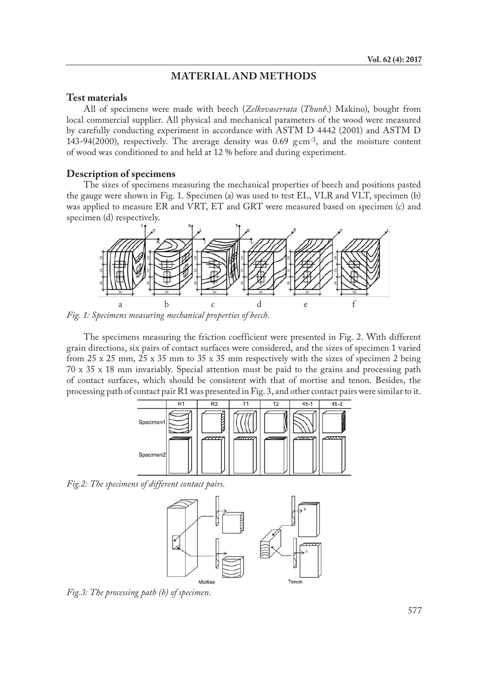## **MATERIAL AND METHODS**

#### **Test materials**

All of specimens were made with beech (*Zelkovaserrata* (*Thunb*.) Makino), bought from local commercial supplier. All physical and mechanical parameters of the wood were measured by carefully conducting experiment in accordance with ASTM D 4442 (2001) and ASTM D  $143-94(2000)$ , respectively. The average density was  $0.69$  g $cm^{-3}$ , and the moisture content of wood was conditioned to and held at 12 % before and during experiment.

#### **Description of specimens**

The sizes of specimens measuring the mechanical properties of beech and positions pasted the gauge were shown in Fig. 1. Specimen (a) was used to test EL, VLR and VLT, specimen (b) was applied to measure ER and VRT, ET and GRT were measured based on specimen (c) and specimen (d) respectively.



*Fig. 1: Specimens measuring mechanical properties of beech.*

The specimens measuring the friction coefficient were presented in Fig. 2. With different grain directions, six pairs of contact surfaces were considered, and the sizes of specimen 1 varied from  $25 \times 25$  mm,  $25 \times 35$  mm to  $35 \times 35$  mm respectively with the sizes of specimen 2 being 70 x 35 x 18 mm invariably. Special attention must be paid to the grains and processing path of contact surfaces, which should be consistent with that of mortise and tenon. Besides, the processing path of contact pair R1 was presented in Fig. 3, and other contact pairs were similar to it.



*Fig.2: The specimens of different contact pairs.*



*Fig.3: The processing path (b) of specimen.*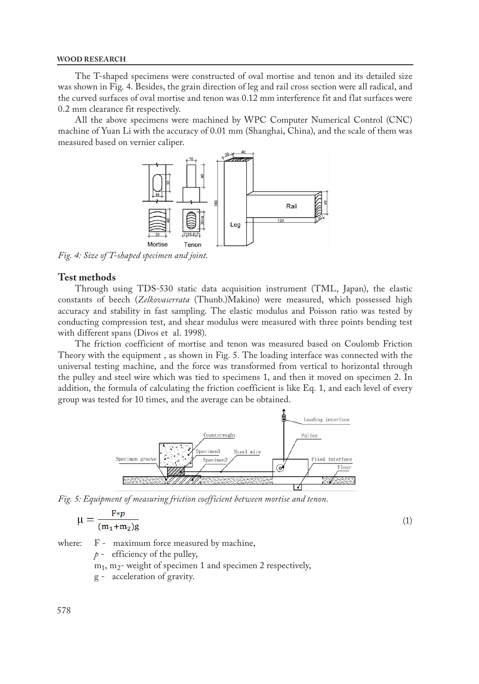#### **WOOD RESEARCH**

The T-shaped specimens were constructed of oval mortise and tenon and its detailed size was shown in Fig. 4. Besides, the grain direction of leg and rail cross section were all radical, and the curved surfaces of oval mortise and tenon was 0.12 mm interference fit and flat surfaces were 0.2 mm clearance fit respectively.

All the above specimens were machined by WPC Computer Numerical Control (CNC) machine of Yuan Li with the accuracy of 0.01 mm (Shanghai, China), and the scale of them was measured based on vernier caliper.



*Fig. 4: Size of T-shaped specimen and joint.* 

#### **Test methods**

Through using TDS-530 static data acquisition instrument (TML, Japan), the elastic constants of beech (*Zelkovaserrata* (Thunb.)Makino) were measured, which possessed high accuracy and stability in fast sampling. The elastic modulus and Poisson ratio was tested by conducting compression test, and shear modulus were measured with three points bending test with different spans (Divos et al. 1998).

The friction coefficient of mortise and tenon was measured based on Coulomb Friction Theory with the equipment , as shown in Fig. 5. The loading interface was connected with the universal testing machine, and the force was transformed from vertical to horizontal through the pulley and steel wire which was tied to specimens 1, and then it moved on specimen 2. In addition, the formula of calculating the friction coefficient is like Eq. 1, and each level of every group was tested for 10 times, and the average can be obtained.



*Fig. 5: Equipment of measuring friction coefficient between mortise and tenon.*

$$
\mu = \frac{F \ast p}{(m_1 + m_2)g} \tag{1}
$$

where: F - maximum force measured by machine,

*p* - efficiency of the pulley,

- $m_1$ ,  $m_2$  weight of specimen 1 and specimen 2 respectively,
- g acceleration of gravity.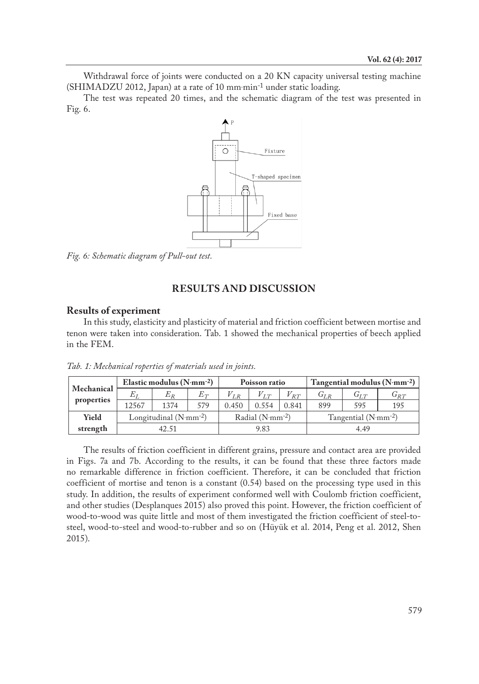Withdrawal force of joints were conducted on a 20 KN capacity universal testing machine (SHIMADZU 2012, Japan) at a rate of 10 mm. min-1 under static loading.

The test was repeated 20 times, and the schematic diagram of the test was presented in Fig. 6.



*Fig. 6: Schematic diagram of Pull-out test.*

# **RESULTS AND DISCUSSION**

## **Results of experiment**

In this study, elasticity and plasticity of material and friction coefficient between mortise and tenon were taken into consideration. Tab. 1 showed the mechanical properties of beech applied in the FEM.

| Mechanical<br>properties | Elastic modulus $(N \cdot mm^{-2})$ |         |       | Poisson ratio    |          |          | $Tangential$ modulus $(N·mm-2)$ |           |          |
|--------------------------|-------------------------------------|---------|-------|------------------|----------|----------|---------------------------------|-----------|----------|
|                          |                                     | $E_R\,$ | $E_T$ | $V_{LR}$         | $V_{LT}$ | $V_{RT}$ | $G_{I.R}$                       | $G_{I.T}$ | $G_{RT}$ |
|                          | 12567                               | 1374    | 579   | 0.450            | 0.554    | 0.841    | 899                             | 595       | 195      |
| Yield                    | Longitudinal $(N \cdot mm^{-2})$    |         |       | $Radial(N·mm-2)$ |          |          | Tangential $(N \cdot mm^{-2})$  |           |          |
| strength                 | 42.51                               |         |       | 9.83             |          |          | 4.49                            |           |          |

*Tab. 1: Mechanical roperties of materials used in joints.*

The results of friction coefficient in different grains, pressure and contact area are provided in Figs. 7a and 7b. According to the results, it can be found that these three factors made no remarkable difference in friction coefficient. Therefore, it can be concluded that friction coefficient of mortise and tenon is a constant (0.54) based on the processing type used in this study. In addition, the results of experiment conformed well with Coulomb friction coefficient, and other studies (Desplanques 2015) also proved this point. However, the friction coefficient of wood-to-wood was quite little and most of them investigated the friction coefficient of steel-tosteel, wood-to-steel and wood-to-rubber and so on (Hüyük et al. 2014, Peng et al. 2012, Shen 2015).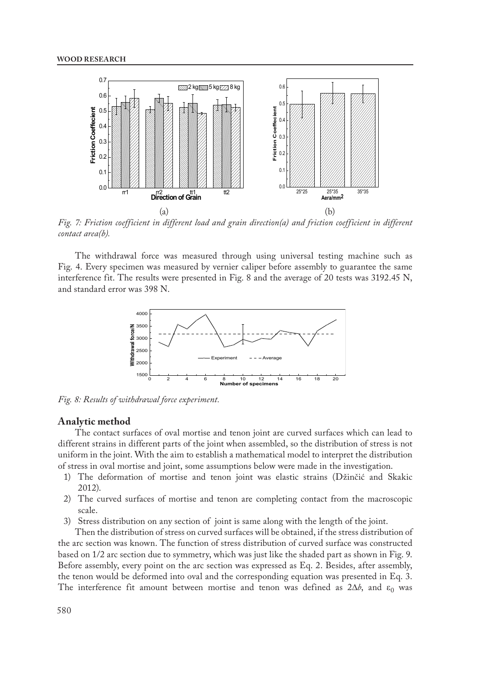

*Fig. 7: Friction coefficient in different load and grain direction(a) and friction coefficient in different contact area(b).*

The withdrawal force was measured through using universal testing machine such as Fig. 4. Every specimen was measured by vernier caliper before assembly to guarantee the same interference fit. The results were presented in Fig. 8 and the average of 20 tests was 3192.45 N, and standard error was 398 N.



*Fig. 8: Results of withdrawal force experiment.*

#### **Analytic method**

The contact surfaces of oval mortise and tenon joint are curved surfaces which can lead to different strains in different parts of the joint when assembled, so the distribution of stress is not uniform in the joint. With the aim to establish a mathematical model to interpret the distribution of stress in oval mortise and joint, some assumptions below were made in the investigation.

- 1) The deformation of mortise and tenon joint was elastic strains (Džinčić and Skakic 2012).
- 2) The curved surfaces of mortise and tenon are completing contact from the macroscopic scale.
- 3) Stress distribution on any section of joint is same along with the length of the joint.

Then the distribution of stress on curved surfaces will be obtained, if the stress distribution of the arc section was known. The function of stress distribution of curved surface was constructed based on 1/2 arc section due to symmetry, which was just like the shaded part as shown in Fig. 9. Before assembly, every point on the arc section was expressed as Eq. 2. Besides, after assembly, the tenon would be deformed into oval and the corresponding equation was presented in Eq. 3. The interference fit amount between mortise and tenon was defined as  $2\Delta b$ , and  $\varepsilon_0$  was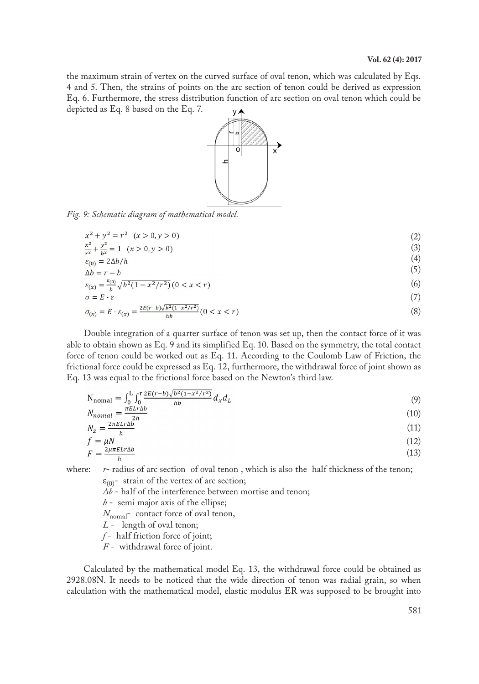the maximum strain of vertex on the curved surface of oval tenon, which was calculated by Eqs. 4 and 5. Then, the strains of points on the arc section of tenon could be derived as expression Eq. 6. Furthermore, the stress distribution function of arc section on oval tenon which could be depicted as Eq. 8 based on the Eq. 7. **VA** 



*Fig. 9: Schematic diagram of mathematical model.*

$$
x^{2} + y^{2} = r^{2} \quad (x > 0, y > 0)
$$
\n
$$
x^{2} + y^{2} = 1 \quad (x > 0, y > 0)
$$
\n(2)

$$
\frac{x}{r^2} + \frac{y}{b^2} = 1 \quad (x > 0, y > 0)
$$
\n
$$
\varepsilon_{(0)} = 2\Delta b/h \tag{3}
$$

$$
\Delta b = r - b \tag{5}
$$

$$
\varepsilon_{(x)} = \frac{\varepsilon_{(0)}}{b} \sqrt{b^2 (1 - x^2 / r^2)} (0 < x < r)
$$
\n(6)

$$
\sigma = E \cdot \varepsilon \tag{7}
$$
\n
$$
\sigma_{\varepsilon} = E \cdot \varepsilon_{\varepsilon} = \frac{2E(r-b)\sqrt{b^2(1-x^2/r^2)}}{(2\varepsilon)^2} (0 < r < r) \tag{8}
$$

$$
\sigma_{(x)} = E \cdot \varepsilon_{(x)} = \frac{\text{ln}(C - \varepsilon) \sqrt{C - (C - \varepsilon)^2}}{h b} (0 < x < r) \tag{8}
$$

Double integration of a quarter surface of tenon was set up, then the contact force of it was able to obtain shown as Eq. 9 and its simplified Eq. 10. Based on the symmetry, the total contact force of tenon could be worked out as Eq. 11. According to the Coulomb Law of Friction, the frictional force could be expressed as Eq. 12, furthermore, the withdrawal force of joint shown as Eq. 13 was equal to the frictional force based on the Newton's third law.

$$
N_{\text{nomal}} = \int_0^L \int_0^r \frac{2E(r-b)\sqrt{b^2(1-x^2/r^2)}}{hb} dx d_L
$$
\n(9)

$$
N_{nomal} = \frac{n_{ELI} \Delta b}{2h} \tag{10}
$$

$$
N_z = \frac{z\pi E L r \Delta b}{h}
$$
  
(11)  

$$
f = \mu N
$$
  

$$
N_z = \frac{V}{h}
$$

$$
F = \frac{2\mu\pi E\ln b}{h} \tag{13}
$$

where: *r*- radius of arc section of oval tenon, which is also the half thickness of the tenon;  $\varepsilon_{(0)}$ - strain of the vertex of arc section;

*∆b* - half of the interference between mortise and tenon;

- *b* semi major axis of the ellipse;
- *N*<sub>nomal</sub>- contact force of oval tenon,

*L* - length of oval tenon;

*f* - half friction force of joint;

*F* - withdrawal force of joint.

Calculated by the mathematical model Eq. 13, the withdrawal force could be obtained as 2928.08N. It needs to be noticed that the wide direction of tenon was radial grain, so when calculation with the mathematical model, elastic modulus ER was supposed to be brought into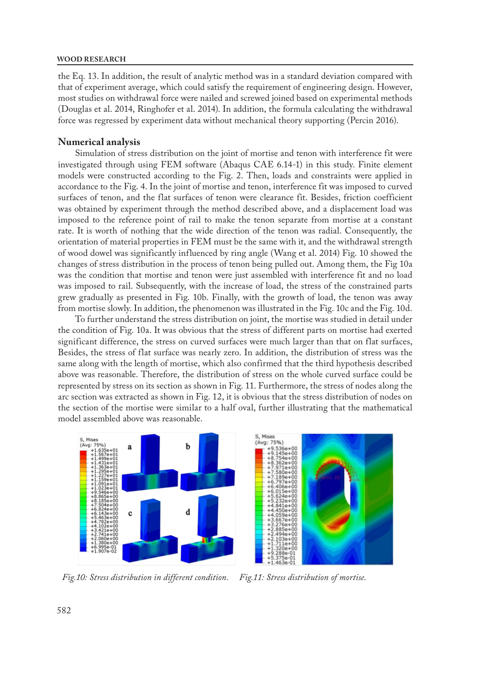#### **WOOD RESEARCH**

the Eq. 13. In addition, the result of analytic method was in a standard deviation compared with that of experiment average, which could satisfy the requirement of engineering design. However, most studies on withdrawal force were nailed and screwed joined based on experimental methods (Douglas et al. 2014, Ringhofer et al. 2014). In addition, the formula calculating the withdrawal force was regressed by experiment data without mechanical theory supporting (Percin 2016).

#### **Numerical analysis**

Simulation of stress distribution on the joint of mortise and tenon with interference fit were investigated through using FEM software (Abaqus CAE 6.14-1) in this study. Finite element models were constructed according to the Fig. 2. Then, loads and constraints were applied in accordance to the Fig. 4. In the joint of mortise and tenon, interference fit was imposed to curved surfaces of tenon, and the flat surfaces of tenon were clearance fit. Besides, friction coefficient was obtained by experiment through the method described above, and a displacement load was imposed to the reference point of rail to make the tenon separate from mortise at a constant rate. It is worth of nothing that the wide direction of the tenon was radial. Consequently, the orientation of material properties in FEM must be the same with it, and the withdrawal strength of wood dowel was significantly influenced by ring angle (Wang et al. 2014) Fig. 10 showed the changes of stress distribution in the process of tenon being pulled out. Among them, the Fig 10a was the condition that mortise and tenon were just assembled with interference fit and no load was imposed to rail. Subsequently, with the increase of load, the stress of the constrained parts grew gradually as presented in Fig. 10b. Finally, with the growth of load, the tenon was away from mortise slowly. In addition, the phenomenon was illustrated in the Fig. 10c and the Fig. 10d.

To further understand the stress distribution on joint, the mortise was studied in detail under the condition of Fig. 10a. It was obvious that the stress of different parts on mortise had exerted significant difference, the stress on curved surfaces were much larger than that on flat surfaces, Besides, the stress of flat surface was nearly zero. In addition, the distribution of stress was the same along with the length of mortise, which also confirmed that the third hypothesis described above was reasonable. Therefore, the distribution of stress on the whole curved surface could be represented by stress on its section as shown in Fig. 11. Furthermore, the stress of nodes along the arc section was extracted as shown in Fig. 12, it is obvious that the stress distribution of nodes on the section of the mortise were similar to a half oval, further illustrating that the mathematical model assembled above was reasonable.



*Fig.10: Stress distribution in different condition. Fig.11: Stress distribution of mortise.*

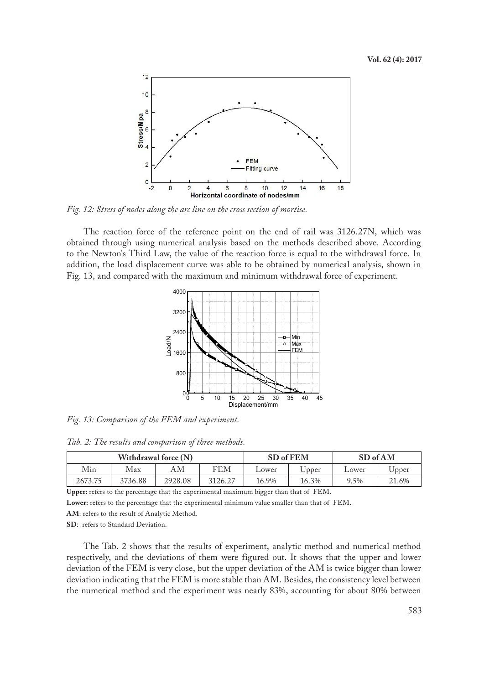

*Fig. 12: Stress of nodes along the arc line on the cross section of mortise.*

The reaction force of the reference point on the end of rail was 3126.27N, which was obtained through using numerical analysis based on the methods described above. According to the Newton's Third Law, the value of the reaction force is equal to the withdrawal force. In addition, the load displacement curve was able to be obtained by numerical analysis, shown in Fig. 13, and compared with the maximum and minimum withdrawal force of experiment.



*Fig. 13: Comparison of the FEM and experiment.*

*Tab. 2: The results and comparison of three methods.*

|         |         | Withdrawal force (N) |         |       | <b>SD</b> of FEM | SD of AM |       |
|---------|---------|----------------------|---------|-------|------------------|----------|-------|
| Min     | Max     | AМ                   | FEM     | Lower | Jpper            | Lower    | Jpper |
| 2673.75 | 3736.88 | 2928.08              | 3126.27 | 16.9% | 16.3%            | 9.5%     | 21.6% |

**Upper:** refers to the percentage that the experimental maximum bigger than that of FEM.

**Lower:** refers to the percentage that the experimental minimum value smaller than that of FEM.

**SD**: refers to Standard Deviation.

The Tab. 2 shows that the results of experiment, analytic method and numerical method respectively, and the deviations of them were figured out. It shows that the upper and lower deviation of the FEM is very close, but the upper deviation of the AM is twice bigger than lower deviation indicating that the FEM is more stable than AM. Besides, the consistency level between the numerical method and the experiment was nearly 83%, accounting for about 80% between

**AM**: refers to the result of Analytic Method.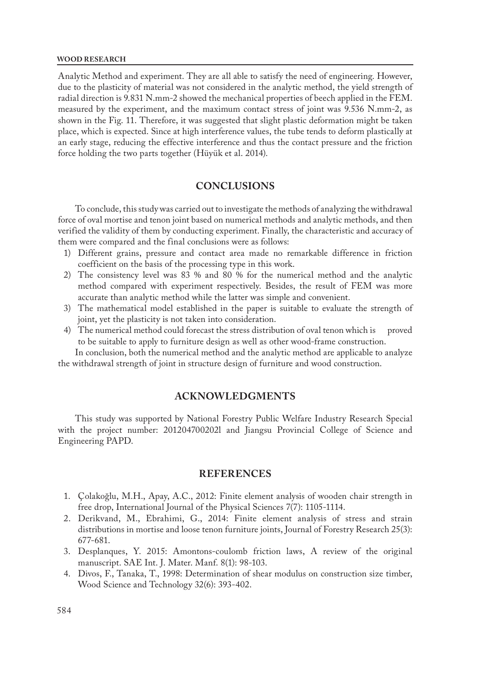#### **WOOD RESEARCH**

Analytic Method and experiment. They are all able to satisfy the need of engineering. However, due to the plasticity of material was not considered in the analytic method, the yield strength of radial direction is 9.831 N.mm-2 showed the mechanical properties of beech applied in the FEM. measured by the experiment, and the maximum contact stress of joint was 9.536 N.mm-2, as shown in the Fig. 11. Therefore, it was suggested that slight plastic deformation might be taken place, which is expected. Since at high interference values, the tube tends to deform plastically at an early stage, reducing the effective interference and thus the contact pressure and the friction force holding the two parts together (Hüyük et al. 2014).

## **CONCLUSIONS**

To conclude, this study was carried out to investigate the methods of analyzing the withdrawal force of oval mortise and tenon joint based on numerical methods and analytic methods, and then verified the validity of them by conducting experiment. Finally, the characteristic and accuracy of them were compared and the final conclusions were as follows:

- 1) Different grains, pressure and contact area made no remarkable difference in friction coefficient on the basis of the processing type in this work.
- 2) The consistency level was 83 % and 80 % for the numerical method and the analytic method compared with experiment respectively. Besides, the result of FEM was more accurate than analytic method while the latter was simple and convenient.
- 3) The mathematical model established in the paper is suitable to evaluate the strength of joint, yet the plasticity is not taken into consideration.
- 4) The numerical method could forecast the stress distribution of oval tenon which is proved to be suitable to apply to furniture design as well as other wood-frame construction.

In conclusion, both the numerical method and the analytic method are applicable to analyze the withdrawal strength of joint in structure design of furniture and wood construction.

## **ACKNOWLEDGMENTS**

This study was supported by National Forestry Public Welfare Industry Research Special with the project number: 201204700202l and Jiangsu Provincial College of Science and Engineering PAPD.

## **REFERENCES**

- 1. Çolakoğlu, M.H., Apay, A.C., 2012: Finite element analysis of wooden chair strength in free drop, International Journal of the Physical Sciences 7(7): 1105-1114.
- 2. Derikvand, M., Ebrahimi, G., 2014: Finite element analysis of stress and strain distributions in mortise and loose tenon furniture joints, Journal of Forestry Research 25(3): 677-681.
- 3. Desplanques, Y. 2015: Amontons-coulomb friction laws, A review of the original manuscript. SAE Int. J. Mater. Manf. 8(1): 98-103.
- 4. Divos, F., Tanaka, T., 1998: Determination of shear modulus on construction size timber, Wood Science and Technology 32(6): 393-402.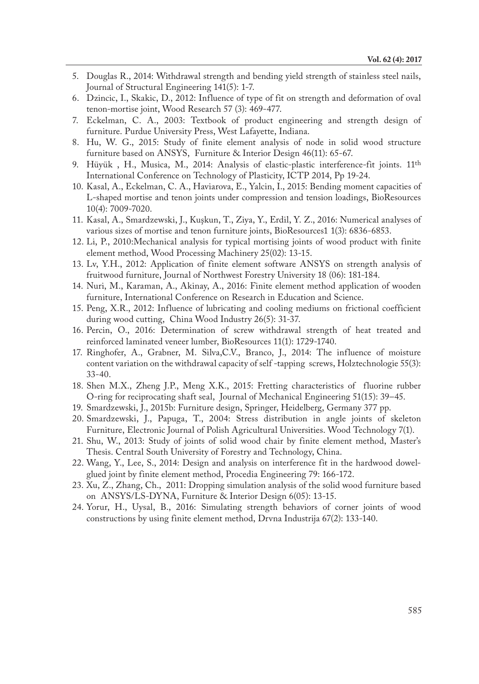- 5. Douglas R., 2014: Withdrawal strength and bending yield strength of stainless steel nails, Journal of Structural Engineering 141(5): 1-7.
- 6. Dzincic, I., Skakic, D., 2012: Influence of type of fit on strength and deformation of oval tenon-mortise joint, Wood Research 57 (3): 469-477.
- 7. Eckelman, C. A., 2003: Textbook of product engineering and strength design of furniture. Purdue University Press, West Lafayette, Indiana.
- 8. Hu, W. G., 2015: Study of finite element analysis of node in solid wood structure furniture based on ANSYS, Furniture & Interior Design 46(11): 65-67.
- 9. Hüyük , H., Musica, M., 2014: Analysis of elastic-plastic interference-fit joints. 11th International Conference on Technology of Plasticity, ICTP 2014, Pp 19-24.
- 10. Kasal, A., Eckelman, C. A., Haviarova, E., Yalcin, I., 2015: Bending moment capacities of L-shaped mortise and tenon joints under compression and tension loadings, BioResources 10(4): 7009-7020.
- 11. Kasal, A., Smardzewski, J., Kuşkun, T., Ziya, Y., Erdil, Y. Z., 2016: Numerical analyses of various sizes of mortise and tenon furniture joints, BioResources1 1(3): 6836-6853.
- 12. Li, P., 2010:Mechanical analysis for typical mortising joints of wood product with finite element method, Wood Processing Machinery 25(02): 13-15.
- 13. Lv, Y.H., 2012: Application of finite element software ANSYS on strength analysis of fruitwood furniture, Journal of Northwest Forestry University 18 (06): 181-184.
- 14. Nuri, M., Karaman, A., Akinay, A., 2016: Finite element method application of wooden furniture, International Conference on Research in Education and Science.
- 15. Peng, X.R., 2012: Influence of lubricating and cooling mediums on frictional coefficient during wood cutting, China Wood Industry 26(5): 31-37.
- 16. Percin, O., 2016: Determination of screw withdrawal strength of heat treated and reinforced laminated veneer lumber, BioResources 11(1): 1729-1740.
- 17. Ringhofer, A., Grabner, M. Silva,C.V., Branco, J., 2014: The influence of moisture content variation on the withdrawal capacity of self -tapping screws, Holztechnologie 55(3): 33-40.
- 18. Shen M.X., Zheng J.P., Meng X.K., 2015: Fretting characteristics of fluorine rubber O-ring for reciprocating shaft seal, Journal of Mechanical Engineering 51(15): 39–45.
- 19. Smardzewski, J., 2015b: Furniture design, Springer, Heidelberg, Germany 377 pp.
- 20. Smardzewski, J., Papuga, T., 2004: Stress distribution in angle joints of skeleton Furniture, Electronic Journal of Polish Agricultural Universities. Wood Technology 7(1).
- 21. Shu, W., 2013: Study of joints of solid wood chair by finite element method, Master's Thesis. Central South University of Forestry and Technology, China.
- 22. Wang, Y., Lee, S., 2014: Design and analysis on interference fit in the hardwood dowelglued joint by finite element method, Procedia Engineering 79: 166-172.
- 23. Xu, Z., Zhang, Ch., 2011: Dropping simulation analysis of the solid wood furniture based on ANSYS/LS-DYNA, Furniture & Interior Design 6(05): 13-15.
- 24. Yorur, H., Uysal, B., 2016: Simulating strength behaviors of corner joints of wood constructions by using finite element method, Drvna Industrija 67(2): 133-140.